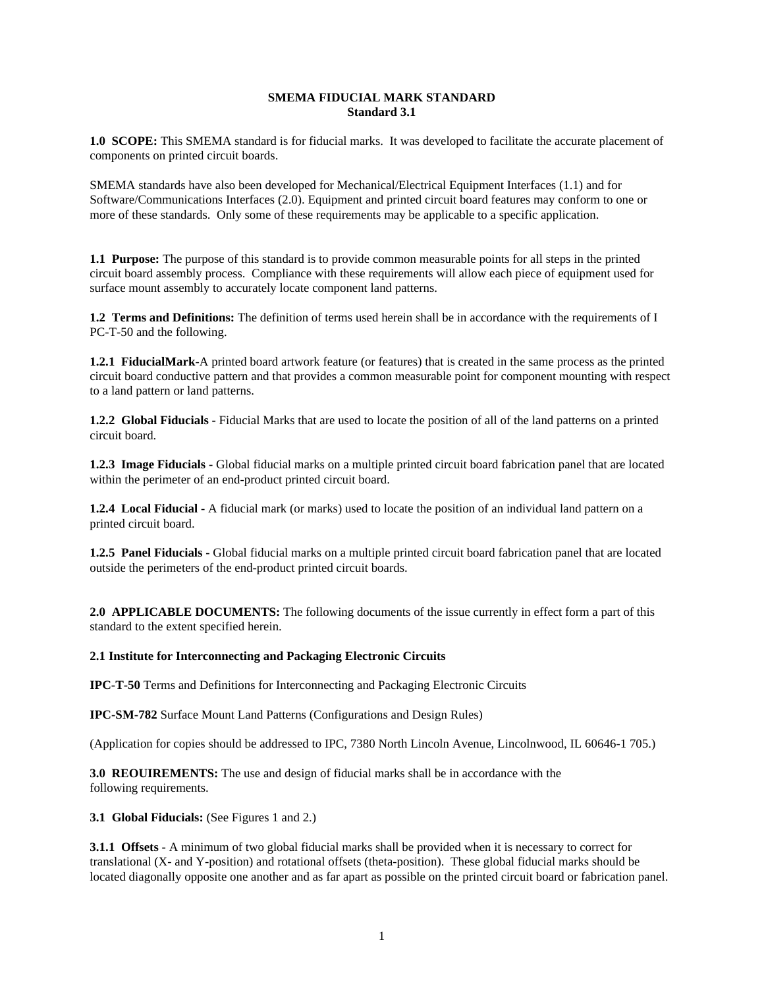## **SMEMA FIDUCIAL MARK STANDARD Standard 3.1**

**1.0 SCOPE:** This SMEMA standard is for fiducial marks. It was developed to facilitate the accurate placement of components on printed circuit boards.

SMEMA standards have also been developed for Mechanical/Electrical Equipment Interfaces (1.1) and for Software/Communications Interfaces (2.0). Equipment and printed circuit board features may conform to one or more of these standards. Only some of these requirements may be applicable to a specific application.

**1.1 Purpose:** The purpose of this standard is to provide common measurable points for all steps in the printed circuit board assembly process. Compliance with these requirements will allow each piece of equipment used for surface mount assembly to accurately locate component land patterns.

**1.2 Terms and Definitions:** The definition of terms used herein shall be in accordance with the requirements of I PC-T-50 and the following.

**1.2.1 FiducialMark**-A printed board artwork feature (or features) that is created in the same process as the printed circuit board conductive pattern and that provides a common measurable point for component mounting with respect to a land pattern or land patterns.

**1.2.2 Global Fiducials -** Fiducial Marks that are used to locate the position of all of the land patterns on a printed circuit board.

**1.2.3 Image Fiducials -** Global fiducial marks on a multiple printed circuit board fabrication panel that are located within the perimeter of an end-product printed circuit board.

**1.2.4 Local Fiducial -** A fiducial mark (or marks) used to locate the position of an individual land pattern on a printed circuit board.

**1.2.5 Panel Fiducials -** Global fiducial marks on a multiple printed circuit board fabrication panel that are located outside the perimeters of the end-product printed circuit boards.

**2.0 APPLICABLE DOCUMENTS:** The following documents of the issue currently in effect form a part of this standard to the extent specified herein.

**2.1 Institute for Interconnecting and Packaging Electronic Circuits**

**IPC-T-50** Terms and Definitions for Interconnecting and Packaging Electronic Circuits

**IPC-SM-782** Surface Mount Land Patterns (Configurations and Design Rules)

(Application for copies should be addressed to IPC, 7380 North Lincoln Avenue, Lincolnwood, IL 60646-1 705.)

**3.0 REOUIREMENTS:** The use and design of fiducial marks shall be in accordance with the following requirements.

**3.1 Global Fiducials:** (See Figures 1 and 2.)

**3.1.1 Offsets -** A minimum of two global fiducial marks shall be provided when it is necessary to correct for translational (X- and Y-position) and rotational offsets (theta-position). These global fiducial marks should be located diagonally opposite one another and as far apart as possible on the printed circuit board or fabrication panel.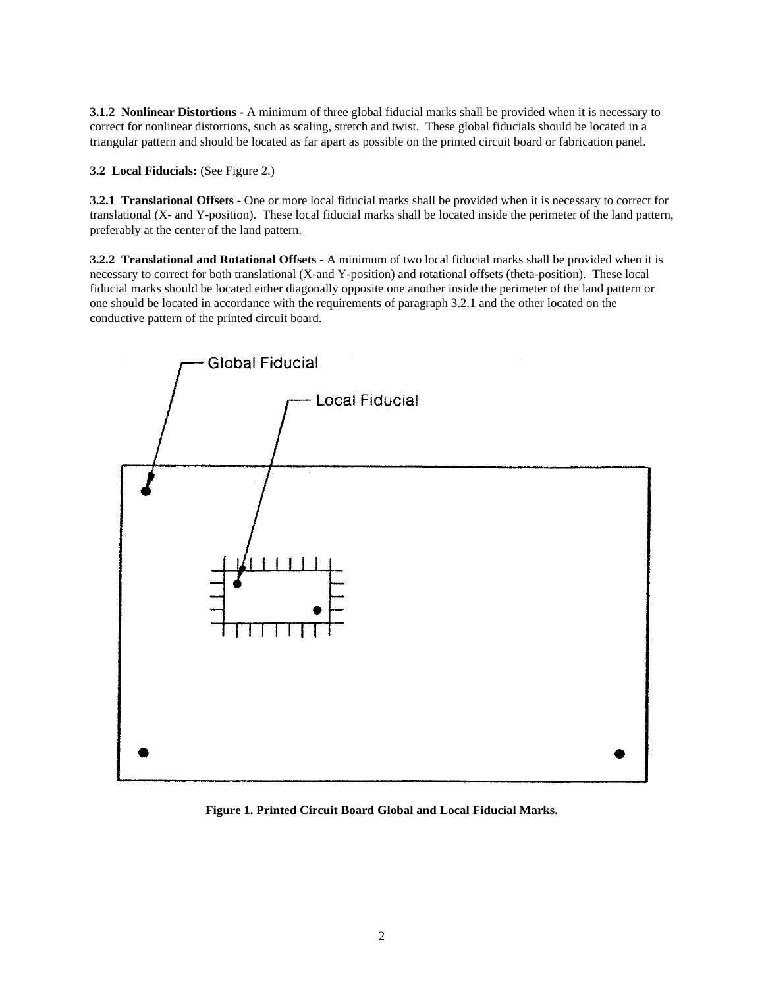**3.1.2 Nonlinear Distortions** - A minimum of three global fiducial marks shall be provided when it is necessary to correct for nonlinear distortions, such as scaling, stretch and twist. These global fiducials should be located in a triangular pattern and should be located as far apart as possible on the printed circuit board or fabrication panel.

**3.2 Local Fiducials:** (See Figure 2.)

**3.2.1 Translational Offsets -** One or more local fiducial marks shall be provided when it is necessary to correct for translational (X- and Y-position). These local fiducial marks shall be located inside the perimeter of the land pattern, preferably at the center of the land pattern.

**3.2.2 Translational and Rotational Offsets -** A minimum of two local fiducial marks shall be provided when it is necessary to correct for both translational (X-and Y-position) and rotational offsets (theta-position). These local fiducial marks should be located either diagonally opposite one another inside the perimeter of the land pattern or one should be located in accordance with the requirements of paragraph 3.2.1 and the other located on the conductive pattern of the printed circuit board.



**Figure 1. Printed Circuit Board Global and Local Fiducial Marks.**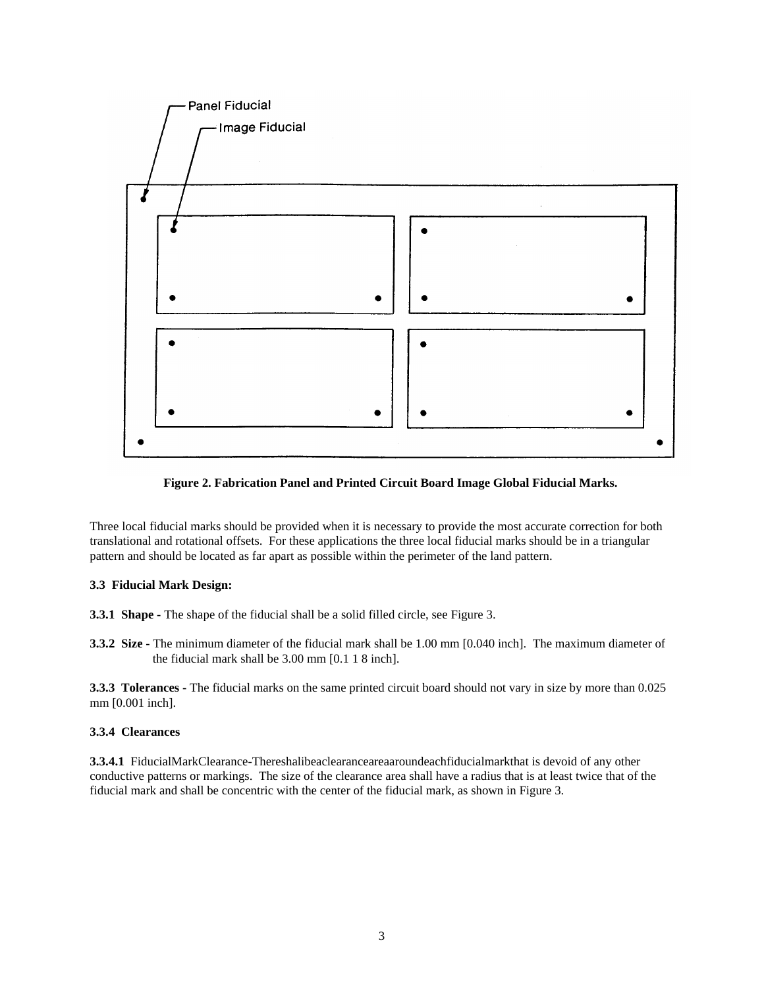

**Figure 2. Fabrication Panel and Printed Circuit Board Image Global Fiducial Marks.**

Three local fiducial marks should be provided when it is necessary to provide the most accurate correction for both translational and rotational offsets. For these applications the three local fiducial marks should be in a triangular pattern and should be located as far apart as possible within the perimeter of the land pattern.

## **3.3 Fiducial Mark Design:**

**3.3.1 Shape -** The shape of the fiducial shall be a solid filled circle, see Figure 3.

**3.3.2 Size -** The minimum diameter of the fiducial mark shall be 1.00 mm [0.040 inch]. The maximum diameter of the fiducial mark shall be 3.00 mm [0.1 1 8 inch].

**3.3.3 Tolerances -** The fiducial marks on the same printed circuit board should not vary in size by more than 0.025 mm [0.001 inch].

## **3.3.4 Clearances**

**3.3.4.1** FiducialMarkClearance-Thereshalibeaclearanceareaaroundeachfiducialmarkthat is devoid of any other conductive patterns or markings. The size of the clearance area shall have a radius that is at least twice that of the fiducial mark and shall be concentric with the center of the fiducial mark, as shown in Figure 3.